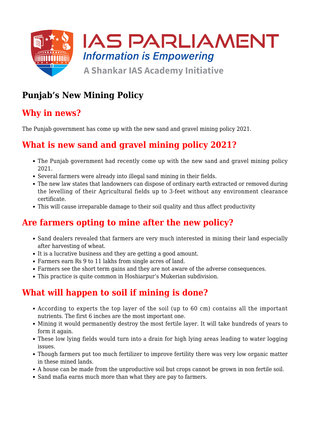

# **Punjab's New Mining Policy**

## **Why in news?**

The Punjab government has come up with the new sand and gravel mining policy 2021.

## **What is new sand and gravel mining policy 2021?**

- The Punjab government had recently come up with the new sand and gravel mining policy 2021.
- Several farmers were already into illegal sand mining in their fields.
- The new law states that landowners can dispose of ordinary earth extracted or removed during the levelling of their Agricultural fields up to 3-feet without any environment clearance certificate.
- This will cause irreparable damage to their soil quality and thus affect productivity

## **Are farmers opting to mine after the new policy?**

- Sand dealers revealed that farmers are very much interested in mining their land especially after harvesting of wheat.
- It is a lucrative business and they are getting a good amount.
- Farmers earn Rs 9 to 11 lakhs from single acres of land.
- Farmers see the short term gains and they are not aware of the adverse consequences.
- This practice is quite common in Hoshiarpur's Mukerian subdivision.

# **What will happen to soil if mining is done?**

- According to experts the top layer of the soil (up to 60 cm) contains all the important nutrients. The first 6 inches are the most important one.
- Mining it would permanently destroy the most fertile layer. It will take hundreds of years to form it again.
- These low lying fields would turn into a drain for high lying areas leading to water logging issues.
- Though farmers put too much fertilizer to improve fertility there was very low organic matter in these mined lands.
- A house can be made from the unproductive soil but crops cannot be grown in non fertile soil.
- Sand mafia earns much more than what they are pay to farmers.